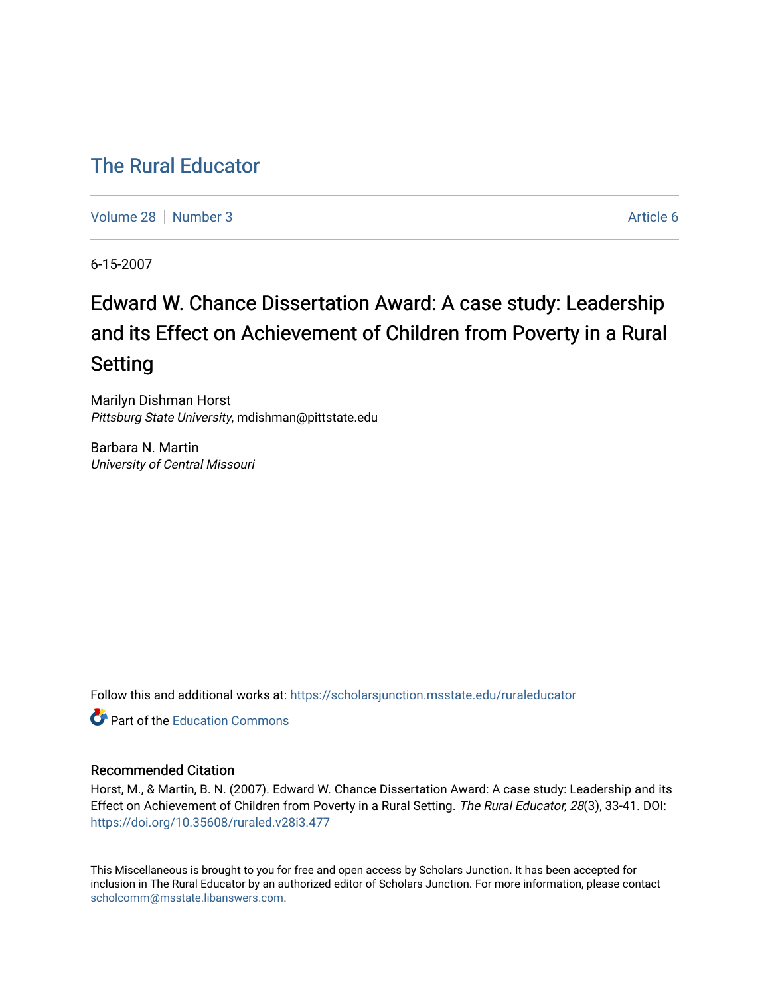# [The Rural Educator](https://scholarsjunction.msstate.edu/ruraleducator)

[Volume 28](https://scholarsjunction.msstate.edu/ruraleducator/vol28) [Number 3](https://scholarsjunction.msstate.edu/ruraleducator/vol28/iss3) Article 6

6-15-2007

# Edward W. Chance Dissertation Award: A case study: Leadership and its Effect on Achievement of Children from Poverty in a Rural Setting

Marilyn Dishman Horst Pittsburg State University, mdishman@pittstate.edu

Barbara N. Martin University of Central Missouri

Follow this and additional works at: [https://scholarsjunction.msstate.edu/ruraleducator](https://scholarsjunction.msstate.edu/ruraleducator?utm_source=scholarsjunction.msstate.edu%2Fruraleducator%2Fvol28%2Fiss3%2F6&utm_medium=PDF&utm_campaign=PDFCoverPages)

**C** Part of the [Education Commons](http://network.bepress.com/hgg/discipline/784?utm_source=scholarsjunction.msstate.edu%2Fruraleducator%2Fvol28%2Fiss3%2F6&utm_medium=PDF&utm_campaign=PDFCoverPages)

### Recommended Citation

Horst, M., & Martin, B. N. (2007). Edward W. Chance Dissertation Award: A case study: Leadership and its Effect on Achievement of Children from Poverty in a Rural Setting. The Rural Educator, 28(3), 33-41. DOI: <https://doi.org/10.35608/ruraled.v28i3.477>

This Miscellaneous is brought to you for free and open access by Scholars Junction. It has been accepted for inclusion in The Rural Educator by an authorized editor of Scholars Junction. For more information, please contact [scholcomm@msstate.libanswers.com.](mailto:scholcomm@msstate.libanswers.com)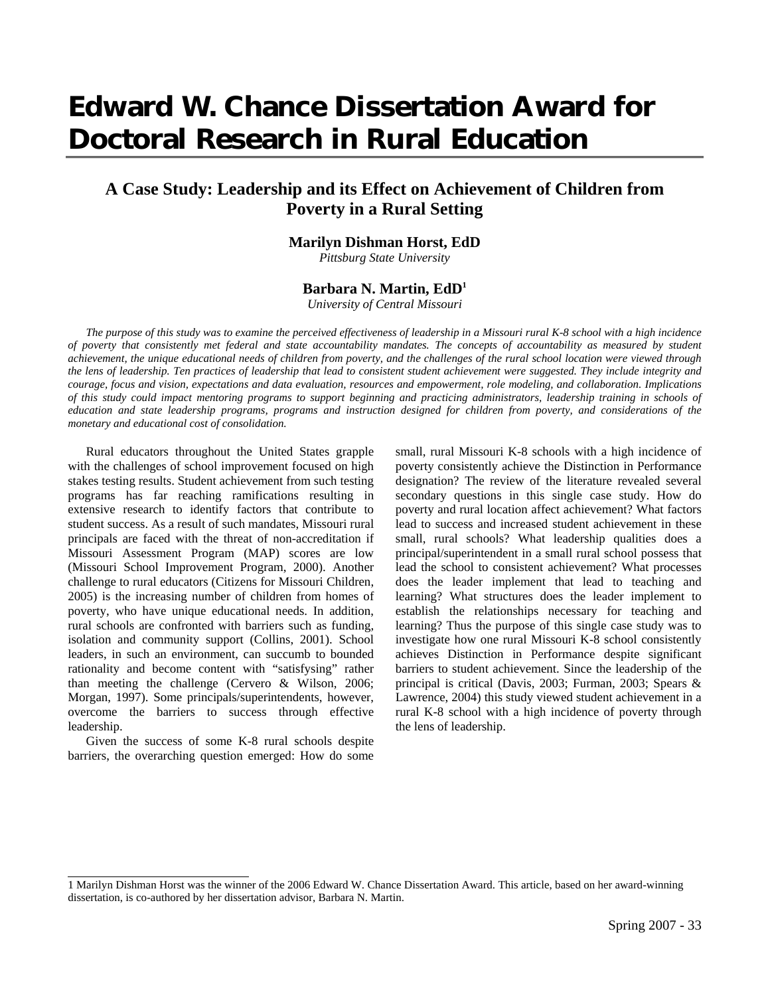# **Edward W. Chance Dissertation Award for Doctoral Research in Rural Education**

## **A Case Study: Leadership and its Effect on Achievement of Children from Poverty in a Rural Setting**

#### **Marilyn Dishman Horst, EdD**

*Pittsburg State University* 

### **Barbara N. Martin, EdD1**

*University of Central Missouri*

*The purpose of this study was to examine the perceived effectiveness of leadership in a Missouri rural K-8 school with a high incidence of poverty that consistently met federal and state accountability mandates. The concepts of accountability as measured by student achievement, the unique educational needs of children from poverty, and the challenges of the rural school location were viewed through the lens of leadership. Ten practices of leadership that lead to consistent student achievement were suggested. They include integrity and courage, focus and vision, expectations and data evaluation, resources and empowerment, role modeling, and collaboration. Implications of this study could impact mentoring programs to support beginning and practicing administrators, leadership training in schools of education and state leadership programs, programs and instruction designed for children from poverty, and considerations of the monetary and educational cost of consolidation.*

Rural educators throughout the United States grapple with the challenges of school improvement focused on high stakes testing results. Student achievement from such testing programs has far reaching ramifications resulting in extensive research to identify factors that contribute to student success. As a result of such mandates, Missouri rural principals are faced with the threat of non-accreditation if Missouri Assessment Program (MAP) scores are low (Missouri School Improvement Program, 2000). Another challenge to rural educators (Citizens for Missouri Children, 2005) is the increasing number of children from homes of poverty, who have unique educational needs. In addition, rural schools are confronted with barriers such as funding, isolation and community support (Collins, 2001). School leaders, in such an environment, can succumb to bounded rationality and become content with "satisfysing" rather than meeting the challenge (Cervero & Wilson, 2006; Morgan, 1997). Some principals/superintendents, however, overcome the barriers to success through effective leadership.

Given the success of some K-8 rural schools despite barriers, the overarching question emerged: How do some

l

small, rural Missouri K-8 schools with a high incidence of poverty consistently achieve the Distinction in Performance designation? The review of the literature revealed several secondary questions in this single case study. How do poverty and rural location affect achievement? What factors lead to success and increased student achievement in these small, rural schools? What leadership qualities does a principal/superintendent in a small rural school possess that lead the school to consistent achievement? What processes does the leader implement that lead to teaching and learning? What structures does the leader implement to establish the relationships necessary for teaching and learning? Thus the purpose of this single case study was to investigate how one rural Missouri K-8 school consistently achieves Distinction in Performance despite significant barriers to student achievement. Since the leadership of the principal is critical (Davis, 2003; Furman, 2003; Spears & Lawrence, 2004) this study viewed student achievement in a rural K-8 school with a high incidence of poverty through the lens of leadership.

<sup>1</sup> Marilyn Dishman Horst was the winner of the 2006 Edward W. Chance Dissertation Award. This article, based on her award-winning dissertation, is co-authored by her dissertation advisor, Barbara N. Martin.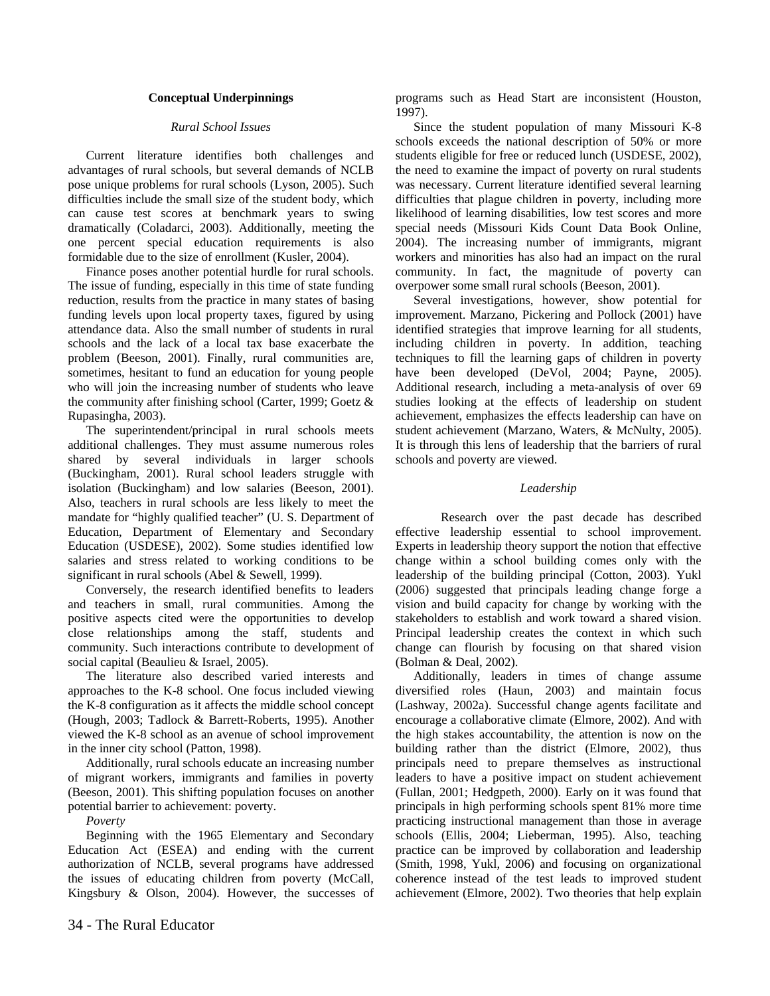#### **Conceptual Underpinnings**

#### *Rural School Issues*

Current literature identifies both challenges and advantages of rural schools, but several demands of NCLB pose unique problems for rural schools (Lyson, 2005). Such difficulties include the small size of the student body, which can cause test scores at benchmark years to swing dramatically (Coladarci, 2003). Additionally, meeting the one percent special education requirements is also formidable due to the size of enrollment (Kusler, 2004).

Finance poses another potential hurdle for rural schools. The issue of funding, especially in this time of state funding reduction, results from the practice in many states of basing funding levels upon local property taxes, figured by using attendance data. Also the small number of students in rural schools and the lack of a local tax base exacerbate the problem (Beeson, 2001). Finally, rural communities are, sometimes, hesitant to fund an education for young people who will join the increasing number of students who leave the community after finishing school (Carter, 1999; Goetz & Rupasingha, 2003).

The superintendent/principal in rural schools meets additional challenges. They must assume numerous roles shared by several individuals in larger schools (Buckingham, 2001). Rural school leaders struggle with isolation (Buckingham) and low salaries (Beeson, 2001). Also, teachers in rural schools are less likely to meet the mandate for "highly qualified teacher" (U. S. Department of Education, Department of Elementary and Secondary Education (USDESE), 2002). Some studies identified low salaries and stress related to working conditions to be significant in rural schools (Abel & Sewell, 1999).

Conversely, the research identified benefits to leaders and teachers in small, rural communities. Among the positive aspects cited were the opportunities to develop close relationships among the staff, students and community. Such interactions contribute to development of social capital (Beaulieu & Israel, 2005).

The literature also described varied interests and approaches to the K-8 school. One focus included viewing the K-8 configuration as it affects the middle school concept (Hough, 2003; Tadlock & Barrett-Roberts, 1995). Another viewed the K-8 school as an avenue of school improvement in the inner city school (Patton, 1998).

Additionally, rural schools educate an increasing number of migrant workers, immigrants and families in poverty (Beeson, 2001). This shifting population focuses on another potential barrier to achievement: poverty.

*Poverty* 

Beginning with the 1965 Elementary and Secondary Education Act (ESEA) and ending with the current authorization of NCLB, several programs have addressed the issues of educating children from poverty (McCall, Kingsbury & Olson, 2004). However, the successes of programs such as Head Start are inconsistent (Houston, 1997).

Since the student population of many Missouri K-8 schools exceeds the national description of 50% or more students eligible for free or reduced lunch (USDESE, 2002), the need to examine the impact of poverty on rural students was necessary. Current literature identified several learning difficulties that plague children in poverty, including more likelihood of learning disabilities, low test scores and more special needs (Missouri Kids Count Data Book Online, 2004). The increasing number of immigrants, migrant workers and minorities has also had an impact on the rural community. In fact, the magnitude of poverty can overpower some small rural schools (Beeson, 2001).

Several investigations, however, show potential for improvement. Marzano, Pickering and Pollock (2001) have identified strategies that improve learning for all students, including children in poverty. In addition, teaching techniques to fill the learning gaps of children in poverty have been developed (DeVol, 2004; Payne, 2005). Additional research, including a meta-analysis of over 69 studies looking at the effects of leadership on student achievement, emphasizes the effects leadership can have on student achievement (Marzano, Waters, & McNulty, 2005). It is through this lens of leadership that the barriers of rural schools and poverty are viewed.

#### *Leadership*

Research over the past decade has described effective leadership essential to school improvement. Experts in leadership theory support the notion that effective change within a school building comes only with the leadership of the building principal (Cotton, 2003). Yukl (2006) suggested that principals leading change forge a vision and build capacity for change by working with the stakeholders to establish and work toward a shared vision. Principal leadership creates the context in which such change can flourish by focusing on that shared vision (Bolman & Deal, 2002).

Additionally, leaders in times of change assume diversified roles (Haun, 2003) and maintain focus (Lashway, 2002a). Successful change agents facilitate and encourage a collaborative climate (Elmore, 2002). And with the high stakes accountability, the attention is now on the building rather than the district (Elmore, 2002), thus principals need to prepare themselves as instructional leaders to have a positive impact on student achievement (Fullan, 2001; Hedgpeth, 2000). Early on it was found that principals in high performing schools spent 81% more time practicing instructional management than those in average schools (Ellis, 2004; Lieberman, 1995). Also, teaching practice can be improved by collaboration and leadership (Smith, 1998, Yukl, 2006) and focusing on organizational coherence instead of the test leads to improved student achievement (Elmore, 2002). Two theories that help explain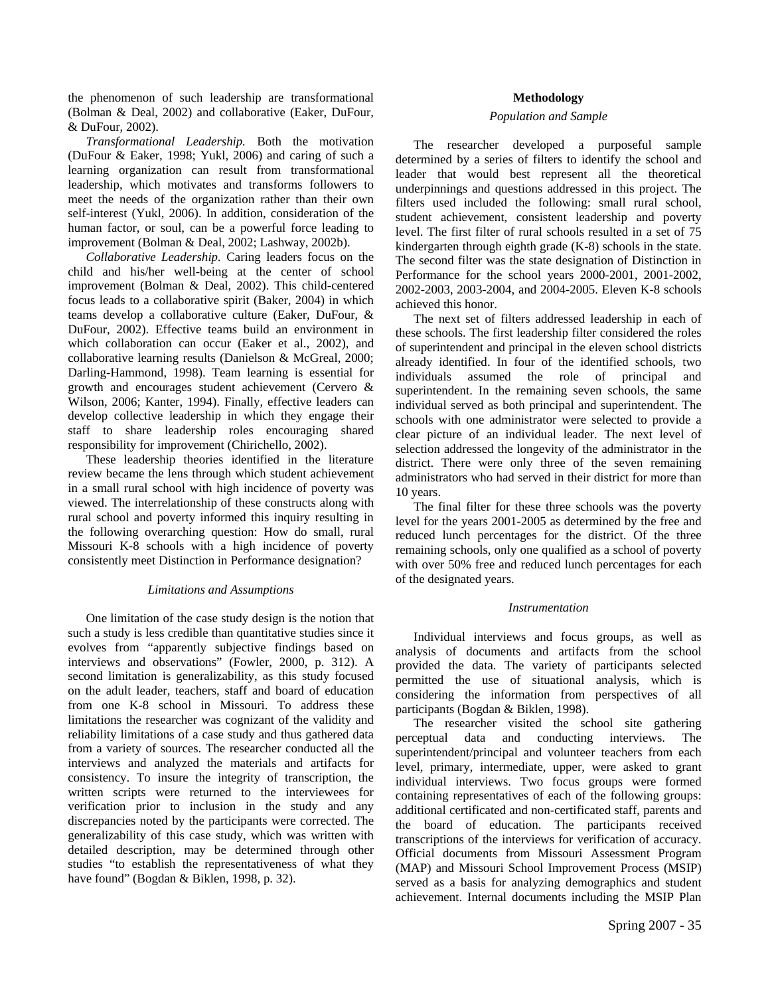the phenomenon of such leadership are transformational (Bolman & Deal, 2002) and collaborative (Eaker, DuFour, & DuFour, 2002).

*Transformational Leadership.* Both the motivation (DuFour & Eaker, 1998; Yukl, 2006) and caring of such a learning organization can result from transformational leadership, which motivates and transforms followers to meet the needs of the organization rather than their own self-interest (Yukl, 2006). In addition, consideration of the human factor, or soul, can be a powerful force leading to improvement (Bolman & Deal, 2002; Lashway, 2002b).

*Collaborative Leadership.* Caring leaders focus on the child and his/her well-being at the center of school improvement (Bolman & Deal, 2002). This child-centered focus leads to a collaborative spirit (Baker, 2004) in which teams develop a collaborative culture (Eaker, DuFour, & DuFour, 2002). Effective teams build an environment in which collaboration can occur (Eaker et al., 2002), and collaborative learning results (Danielson & McGreal, 2000; Darling-Hammond, 1998). Team learning is essential for growth and encourages student achievement (Cervero & Wilson, 2006; Kanter, 1994). Finally, effective leaders can develop collective leadership in which they engage their staff to share leadership roles encouraging shared responsibility for improvement (Chirichello, 2002).

These leadership theories identified in the literature review became the lens through which student achievement in a small rural school with high incidence of poverty was viewed. The interrelationship of these constructs along with rural school and poverty informed this inquiry resulting in the following overarching question: How do small, rural Missouri K-8 schools with a high incidence of poverty consistently meet Distinction in Performance designation?

#### *Limitations and Assumptions*

One limitation of the case study design is the notion that such a study is less credible than quantitative studies since it evolves from "apparently subjective findings based on interviews and observations" (Fowler, 2000, p. 312). A second limitation is generalizability, as this study focused on the adult leader, teachers, staff and board of education from one K-8 school in Missouri. To address these limitations the researcher was cognizant of the validity and reliability limitations of a case study and thus gathered data from a variety of sources. The researcher conducted all the interviews and analyzed the materials and artifacts for consistency. To insure the integrity of transcription, the written scripts were returned to the interviewees for verification prior to inclusion in the study and any discrepancies noted by the participants were corrected. The generalizability of this case study, which was written with detailed description, may be determined through other studies "to establish the representativeness of what they have found" (Bogdan & Biklen, 1998, p. 32).

#### **Methodology**

#### *Population and Sample*

The researcher developed a purposeful sample determined by a series of filters to identify the school and leader that would best represent all the theoretical underpinnings and questions addressed in this project. The filters used included the following: small rural school, student achievement, consistent leadership and poverty level. The first filter of rural schools resulted in a set of 75 kindergarten through eighth grade (K-8) schools in the state. The second filter was the state designation of Distinction in Performance for the school years 2000-2001, 2001-2002, 2002-2003, 2003-2004, and 2004-2005. Eleven K-8 schools achieved this honor.

The next set of filters addressed leadership in each of these schools. The first leadership filter considered the roles of superintendent and principal in the eleven school districts already identified. In four of the identified schools, two individuals assumed the role of principal and superintendent. In the remaining seven schools, the same individual served as both principal and superintendent. The schools with one administrator were selected to provide a clear picture of an individual leader. The next level of selection addressed the longevity of the administrator in the district. There were only three of the seven remaining administrators who had served in their district for more than 10 years.

The final filter for these three schools was the poverty level for the years 2001-2005 as determined by the free and reduced lunch percentages for the district. Of the three remaining schools, only one qualified as a school of poverty with over 50% free and reduced lunch percentages for each of the designated years.

#### *Instrumentation*

Individual interviews and focus groups, as well as analysis of documents and artifacts from the school provided the data. The variety of participants selected permitted the use of situational analysis, which is considering the information from perspectives of all participants (Bogdan & Biklen, 1998).

The researcher visited the school site gathering perceptual data and conducting interviews. The superintendent/principal and volunteer teachers from each level, primary, intermediate, upper, were asked to grant individual interviews. Two focus groups were formed containing representatives of each of the following groups: additional certificated and non-certificated staff, parents and the board of education. The participants received transcriptions of the interviews for verification of accuracy. Official documents from Missouri Assessment Program (MAP) and Missouri School Improvement Process (MSIP) served as a basis for analyzing demographics and student achievement. Internal documents including the MSIP Plan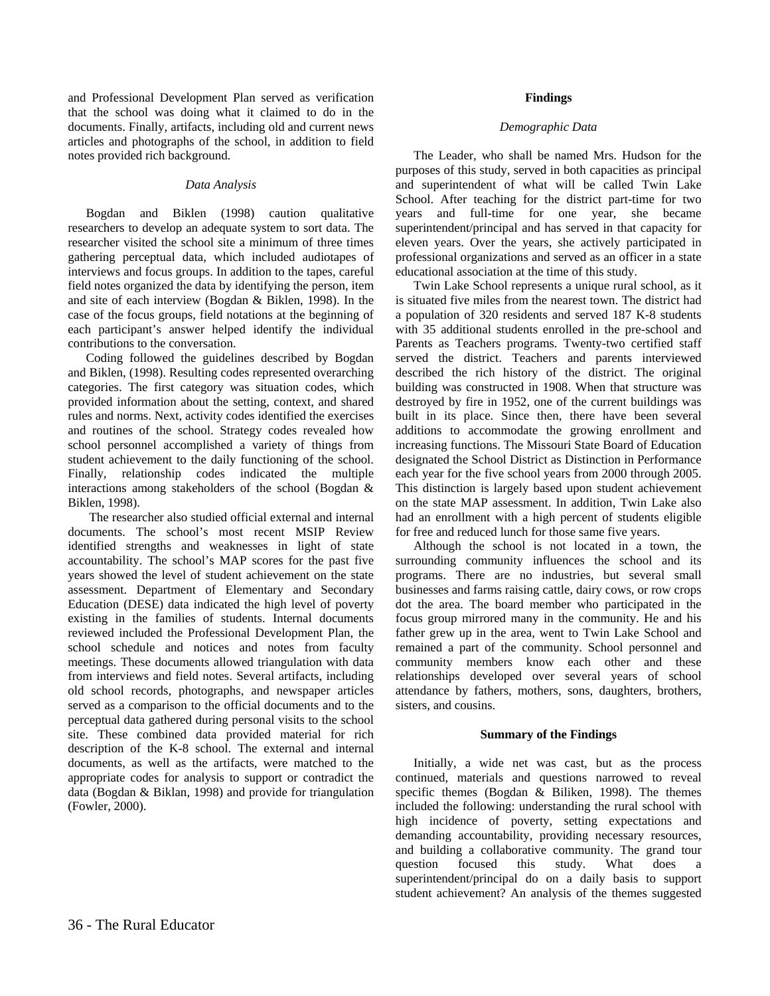and Professional Development Plan served as verification that the school was doing what it claimed to do in the documents. Finally, artifacts, including old and current news articles and photographs of the school, in addition to field notes provided rich background.

#### *Data Analysis*

Bogdan and Biklen (1998) caution qualitative researchers to develop an adequate system to sort data. The researcher visited the school site a minimum of three times gathering perceptual data, which included audiotapes of interviews and focus groups. In addition to the tapes, careful field notes organized the data by identifying the person, item and site of each interview (Bogdan & Biklen, 1998). In the case of the focus groups, field notations at the beginning of each participant's answer helped identify the individual contributions to the conversation.

Coding followed the guidelines described by Bogdan and Biklen, (1998). Resulting codes represented overarching categories. The first category was situation codes, which provided information about the setting, context, and shared rules and norms. Next, activity codes identified the exercises and routines of the school. Strategy codes revealed how school personnel accomplished a variety of things from student achievement to the daily functioning of the school. Finally, relationship codes indicated the multiple interactions among stakeholders of the school (Bogdan & Biklen, 1998).

 The researcher also studied official external and internal documents. The school's most recent MSIP Review identified strengths and weaknesses in light of state accountability. The school's MAP scores for the past five years showed the level of student achievement on the state assessment. Department of Elementary and Secondary Education (DESE) data indicated the high level of poverty existing in the families of students. Internal documents reviewed included the Professional Development Plan, the school schedule and notices and notes from faculty meetings. These documents allowed triangulation with data from interviews and field notes. Several artifacts, including old school records, photographs, and newspaper articles served as a comparison to the official documents and to the perceptual data gathered during personal visits to the school site. These combined data provided material for rich description of the K-8 school. The external and internal documents, as well as the artifacts, were matched to the appropriate codes for analysis to support or contradict the data (Bogdan & Biklan, 1998) and provide for triangulation (Fowler, 2000).

#### **Findings**

#### *Demographic Data*

The Leader, who shall be named Mrs. Hudson for the purposes of this study, served in both capacities as principal and superintendent of what will be called Twin Lake School. After teaching for the district part-time for two years and full-time for one year, she became superintendent/principal and has served in that capacity for eleven years. Over the years, she actively participated in professional organizations and served as an officer in a state educational association at the time of this study.

Twin Lake School represents a unique rural school, as it is situated five miles from the nearest town. The district had a population of 320 residents and served 187 K-8 students with 35 additional students enrolled in the pre-school and Parents as Teachers programs. Twenty-two certified staff served the district. Teachers and parents interviewed described the rich history of the district. The original building was constructed in 1908. When that structure was destroyed by fire in 1952, one of the current buildings was built in its place. Since then, there have been several additions to accommodate the growing enrollment and increasing functions. The Missouri State Board of Education designated the School District as Distinction in Performance each year for the five school years from 2000 through 2005. This distinction is largely based upon student achievement on the state MAP assessment. In addition, Twin Lake also had an enrollment with a high percent of students eligible for free and reduced lunch for those same five years.

Although the school is not located in a town, the surrounding community influences the school and its programs. There are no industries, but several small businesses and farms raising cattle, dairy cows, or row crops dot the area. The board member who participated in the focus group mirrored many in the community. He and his father grew up in the area, went to Twin Lake School and remained a part of the community. School personnel and community members know each other and these relationships developed over several years of school attendance by fathers, mothers, sons, daughters, brothers, sisters, and cousins.

#### **Summary of the Findings**

Initially, a wide net was cast, but as the process continued, materials and questions narrowed to reveal specific themes (Bogdan & Biliken, 1998). The themes included the following: understanding the rural school with high incidence of poverty, setting expectations and demanding accountability, providing necessary resources, and building a collaborative community. The grand tour question focused this study. What does a superintendent/principal do on a daily basis to support student achievement? An analysis of the themes suggested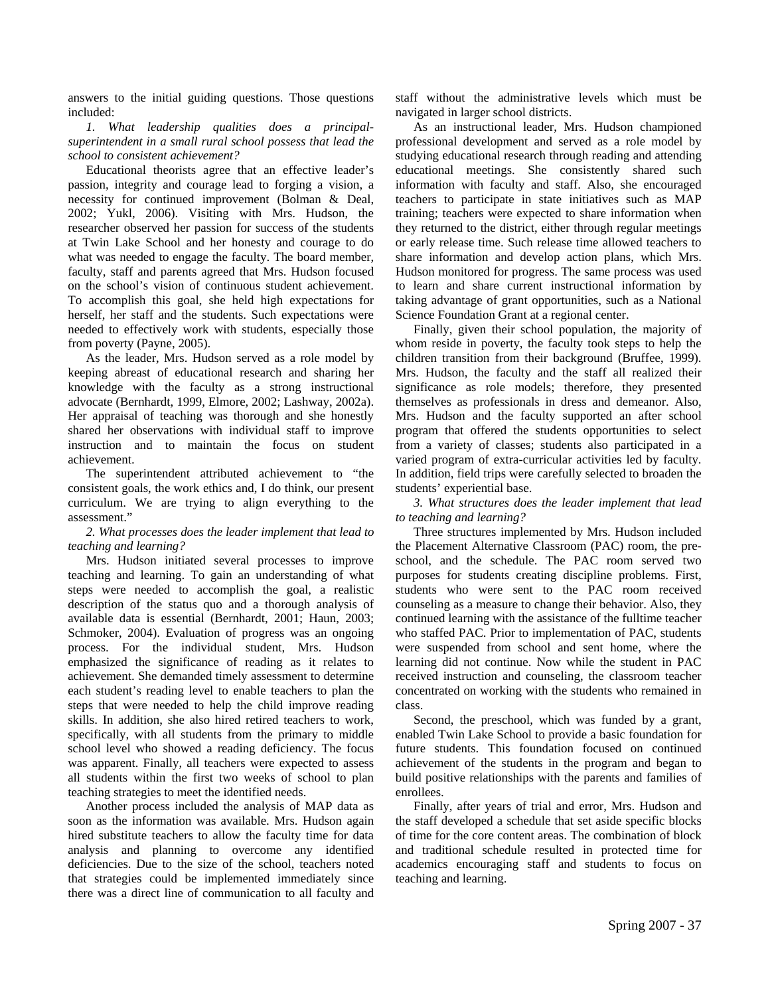answers to the initial guiding questions. Those questions included:

*1. What leadership qualities does a principalsuperintendent in a small rural school possess that lead the school to consistent achievement?* 

Educational theorists agree that an effective leader's passion, integrity and courage lead to forging a vision, a necessity for continued improvement (Bolman & Deal, 2002; Yukl, 2006). Visiting with Mrs. Hudson, the researcher observed her passion for success of the students at Twin Lake School and her honesty and courage to do what was needed to engage the faculty. The board member, faculty, staff and parents agreed that Mrs. Hudson focused on the school's vision of continuous student achievement. To accomplish this goal, she held high expectations for herself, her staff and the students. Such expectations were needed to effectively work with students, especially those from poverty (Payne, 2005).

As the leader, Mrs. Hudson served as a role model by keeping abreast of educational research and sharing her knowledge with the faculty as a strong instructional advocate (Bernhardt, 1999, Elmore, 2002; Lashway, 2002a). Her appraisal of teaching was thorough and she honestly shared her observations with individual staff to improve instruction and to maintain the focus on student achievement.

The superintendent attributed achievement to "the consistent goals, the work ethics and, I do think, our present curriculum. We are trying to align everything to the assessment."

*2. What processes does the leader implement that lead to teaching and learning?* 

Mrs. Hudson initiated several processes to improve teaching and learning. To gain an understanding of what steps were needed to accomplish the goal, a realistic description of the status quo and a thorough analysis of available data is essential (Bernhardt, 2001; Haun, 2003; Schmoker, 2004). Evaluation of progress was an ongoing process. For the individual student, Mrs. Hudson emphasized the significance of reading as it relates to achievement. She demanded timely assessment to determine each student's reading level to enable teachers to plan the steps that were needed to help the child improve reading skills. In addition, she also hired retired teachers to work, specifically, with all students from the primary to middle school level who showed a reading deficiency. The focus was apparent. Finally, all teachers were expected to assess all students within the first two weeks of school to plan teaching strategies to meet the identified needs.

Another process included the analysis of MAP data as soon as the information was available. Mrs. Hudson again hired substitute teachers to allow the faculty time for data analysis and planning to overcome any identified deficiencies. Due to the size of the school, teachers noted that strategies could be implemented immediately since there was a direct line of communication to all faculty and staff without the administrative levels which must be navigated in larger school districts.

As an instructional leader, Mrs. Hudson championed professional development and served as a role model by studying educational research through reading and attending educational meetings. She consistently shared such information with faculty and staff. Also, she encouraged teachers to participate in state initiatives such as MAP training; teachers were expected to share information when they returned to the district, either through regular meetings or early release time. Such release time allowed teachers to share information and develop action plans, which Mrs. Hudson monitored for progress. The same process was used to learn and share current instructional information by taking advantage of grant opportunities, such as a National Science Foundation Grant at a regional center.

Finally, given their school population, the majority of whom reside in poverty, the faculty took steps to help the children transition from their background (Bruffee, 1999). Mrs. Hudson, the faculty and the staff all realized their significance as role models; therefore, they presented themselves as professionals in dress and demeanor. Also, Mrs. Hudson and the faculty supported an after school program that offered the students opportunities to select from a variety of classes; students also participated in a varied program of extra-curricular activities led by faculty. In addition, field trips were carefully selected to broaden the students' experiential base.

*3. What structures does the leader implement that lead to teaching and learning?* 

Three structures implemented by Mrs. Hudson included the Placement Alternative Classroom (PAC) room, the preschool, and the schedule. The PAC room served two purposes for students creating discipline problems. First, students who were sent to the PAC room received counseling as a measure to change their behavior. Also, they continued learning with the assistance of the fulltime teacher who staffed PAC. Prior to implementation of PAC, students were suspended from school and sent home, where the learning did not continue. Now while the student in PAC received instruction and counseling, the classroom teacher concentrated on working with the students who remained in class.

Second, the preschool, which was funded by a grant, enabled Twin Lake School to provide a basic foundation for future students. This foundation focused on continued achievement of the students in the program and began to build positive relationships with the parents and families of enrollees.

Finally, after years of trial and error, Mrs. Hudson and the staff developed a schedule that set aside specific blocks of time for the core content areas. The combination of block and traditional schedule resulted in protected time for academics encouraging staff and students to focus on teaching and learning.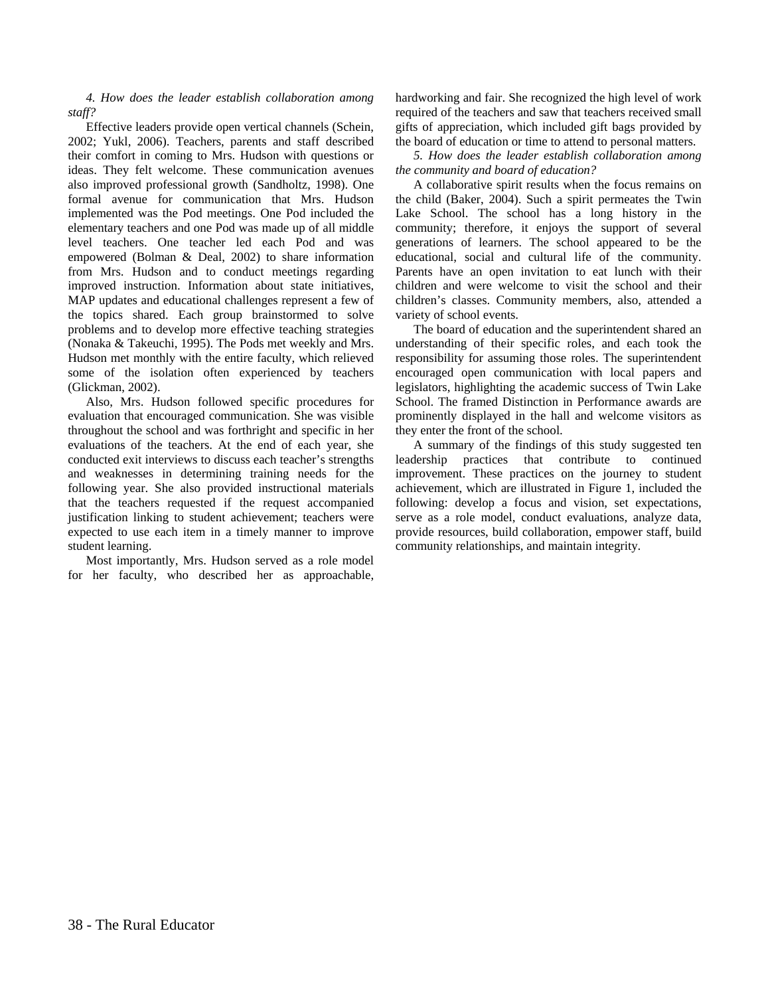*4. How does the leader establish collaboration among staff?* 

Effective leaders provide open vertical channels (Schein, 2002; Yukl, 2006). Teachers, parents and staff described their comfort in coming to Mrs. Hudson with questions or ideas. They felt welcome. These communication avenues also improved professional growth (Sandholtz, 1998). One formal avenue for communication that Mrs. Hudson implemented was the Pod meetings. One Pod included the elementary teachers and one Pod was made up of all middle level teachers. One teacher led each Pod and was empowered (Bolman & Deal, 2002) to share information from Mrs. Hudson and to conduct meetings regarding improved instruction. Information about state initiatives, MAP updates and educational challenges represent a few of the topics shared. Each group brainstormed to solve problems and to develop more effective teaching strategies (Nonaka & Takeuchi, 1995). The Pods met weekly and Mrs. Hudson met monthly with the entire faculty, which relieved some of the isolation often experienced by teachers (Glickman, 2002).

Also, Mrs. Hudson followed specific procedures for evaluation that encouraged communication. She was visible throughout the school and was forthright and specific in her evaluations of the teachers. At the end of each year, she conducted exit interviews to discuss each teacher's strengths and weaknesses in determining training needs for the following year. She also provided instructional materials that the teachers requested if the request accompanied justification linking to student achievement; teachers were expected to use each item in a timely manner to improve student learning.

Most importantly, Mrs. Hudson served as a role model for her faculty, who described her as approachable, hardworking and fair. She recognized the high level of work required of the teachers and saw that teachers received small gifts of appreciation, which included gift bags provided by the board of education or time to attend to personal matters.

*5. How does the leader establish collaboration among the community and board of education?* 

A collaborative spirit results when the focus remains on the child (Baker, 2004). Such a spirit permeates the Twin Lake School. The school has a long history in the community; therefore, it enjoys the support of several generations of learners. The school appeared to be the educational, social and cultural life of the community. Parents have an open invitation to eat lunch with their children and were welcome to visit the school and their children's classes. Community members, also, attended a variety of school events.

The board of education and the superintendent shared an understanding of their specific roles, and each took the responsibility for assuming those roles. The superintendent encouraged open communication with local papers and legislators, highlighting the academic success of Twin Lake School. The framed Distinction in Performance awards are prominently displayed in the hall and welcome visitors as they enter the front of the school.

A summary of the findings of this study suggested ten leadership practices that contribute to continued improvement. These practices on the journey to student achievement, which are illustrated in Figure 1, included the following: develop a focus and vision, set expectations, serve as a role model, conduct evaluations, analyze data, provide resources, build collaboration, empower staff, build community relationships, and maintain integrity.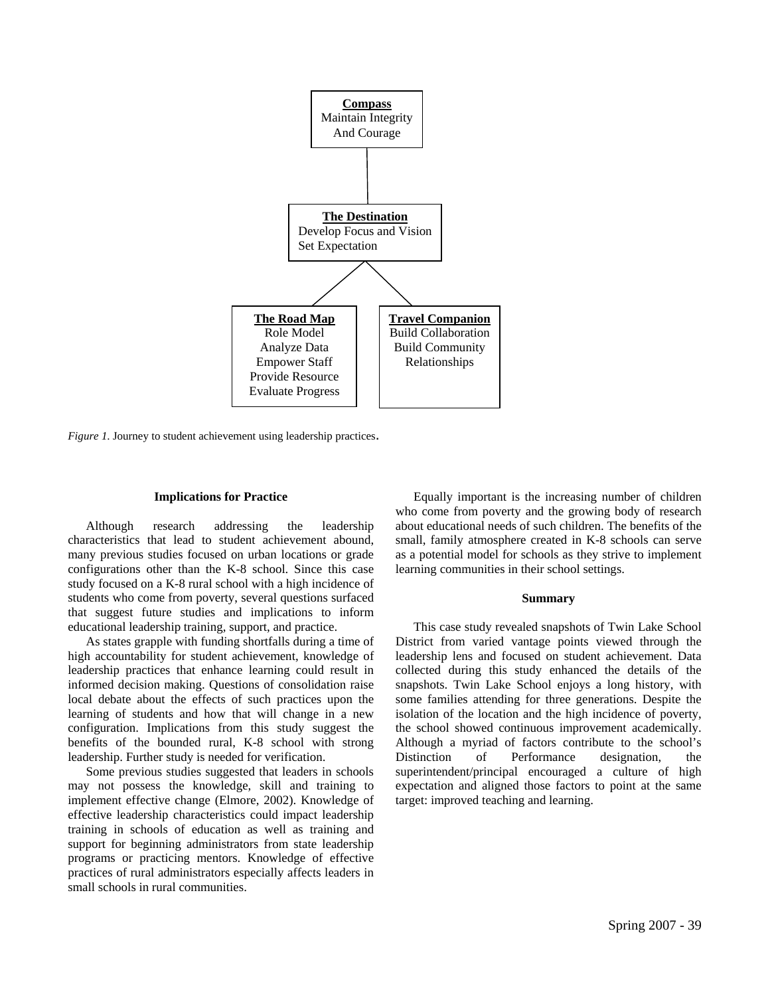

*Figure 1*. Journey to student achievement using leadership practices.

#### **Implications for Practice**

Although research addressing the leadership characteristics that lead to student achievement abound, many previous studies focused on urban locations or grade configurations other than the K-8 school. Since this case study focused on a K-8 rural school with a high incidence of students who come from poverty, several questions surfaced that suggest future studies and implications to inform educational leadership training, support, and practice.

As states grapple with funding shortfalls during a time of high accountability for student achievement, knowledge of leadership practices that enhance learning could result in informed decision making. Questions of consolidation raise local debate about the effects of such practices upon the learning of students and how that will change in a new configuration. Implications from this study suggest the benefits of the bounded rural, K-8 school with strong leadership. Further study is needed for verification.

Some previous studies suggested that leaders in schools may not possess the knowledge, skill and training to implement effective change (Elmore, 2002). Knowledge of effective leadership characteristics could impact leadership training in schools of education as well as training and support for beginning administrators from state leadership programs or practicing mentors. Knowledge of effective practices of rural administrators especially affects leaders in small schools in rural communities.

Equally important is the increasing number of children who come from poverty and the growing body of research about educational needs of such children. The benefits of the small, family atmosphere created in K-8 schools can serve as a potential model for schools as they strive to implement learning communities in their school settings.

#### **Summary**

This case study revealed snapshots of Twin Lake School District from varied vantage points viewed through the leadership lens and focused on student achievement. Data collected during this study enhanced the details of the snapshots. Twin Lake School enjoys a long history, with some families attending for three generations. Despite the isolation of the location and the high incidence of poverty, the school showed continuous improvement academically. Although a myriad of factors contribute to the school's Distinction of Performance designation, the superintendent/principal encouraged a culture of high expectation and aligned those factors to point at the same target: improved teaching and learning.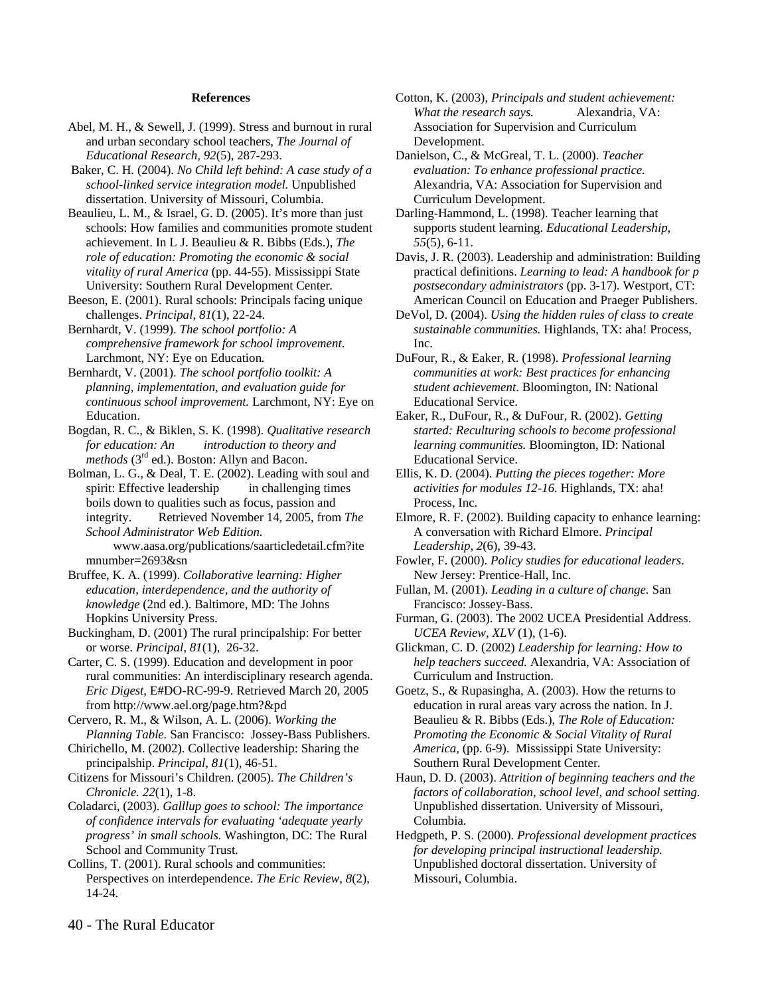#### **References**

- Abel, M. H., & Sewell, J. (1999). Stress and burnout in rural and urban secondary school teachers, *The Journal of Educational Research, 92*(5), 287-293.
- Baker, C. H. (2004). *No Child left behind: A case study of a school-linked service integration model.* Unpublished dissertation. University of Missouri, Columbia.
- Beaulieu, L. M., & Israel, G. D. (2005). It's more than just schools: How families and communities promote student achievement. In L J. Beaulieu & R. Bibbs (Eds.), *The role of education: Promoting the economic & social vitality of rural America* (pp. 44-55). Mississippi State University: Southern Rural Development Center*.*

Beeson, E. (2001). Rural schools: Principals facing unique challenges. *Principal, 81*(1), 22-24.

Bernhardt, V. (1999). *The school portfolio: A comprehensive framework for school improvement*. Larchmont, NY: Eye on Education*.*

Bernhardt, V. (2001). *The school portfolio toolkit: A planning, implementation, and evaluation guide for continuous school improvement.* Larchmont, NY: Eye on Education.

Bogdan, R. C., & Biklen, S. K. (1998). *Qualitative research for education: An introduction to theory and methods* (3<sup>rd</sup> ed.). Boston: Allyn and Bacon.

Bolman, L. G., & Deal, T. E. (2002). Leading with soul and spirit: Effective leadership in challenging times boils down to qualities such as focus, passion and integrity. Retrieved November 14, 2005, from *The School Administrator Web Edition.*

 www.aasa.org/publications/saarticledetail.cfm?ite mnumber=2693&sn

- Bruffee, K. A. (1999). *Collaborative learning: Higher education, interdependence, and the authority of knowledge* (2nd ed.). Baltimore, MD: The Johns Hopkins University Press.
- Buckingham, D. (2001) The rural principalship: For better or worse. *Principal, 81*(1), 26-32.
- Carter, C. S. (1999). Education and development in poor rural communities: An interdisciplinary research agenda. *Eric Digest,* E#DO-RC-99-9. Retrieved March 20, 2005 from http://www.ael.org/page.htm?&pd
- Cervero, R. M., & Wilson, A. L. (2006). *Working the Planning Table.* San Francisco: Jossey-Bass Publishers.
- Chirichello, M. (2002). Collective leadership: Sharing the principalship. *Principal, 81*(1), 46-51.
- Citizens for Missouri's Children. (2005). *The Children's Chronicle. 22*(1), 1-8.
- Coladarci, (2003). *Galllup goes to school: The importance of confidence intervals for evaluating 'adequate yearly progress' in small schools.* Washington, DC: The Rural School and Community Trust.
- Collins, T. (2001). Rural schools and communities: Perspectives on interdependence. *The Eric Review, 8*(2), 14-24.
- Cotton, K. (2003), *Principals and student achievement: What the research says.* Alexandria, VA: Association for Supervision and Curriculum Development.
- Danielson, C., & McGreal, T. L. (2000). *Teacher evaluation: To enhance professional practice.*  Alexandria, VA: Association for Supervision and Curriculum Development.

Darling-Hammond, L. (1998). Teacher learning that supports student learning. *Educational Leadership*, *55*(5), 6-11.

- Davis, J. R. (2003). Leadership and administration: Building practical definitions. *Learning to lead: A handbook for p postsecondary administrators* (pp. 3-17)*.* Westport, CT: American Council on Education and Praeger Publishers.
- DeVol, D. (2004). *Using the hidden rules of class to create sustainable communities.* Highlands, TX: aha! Process, Inc.
- DuFour, R., & Eaker, R. (1998). *Professional learning communities at work: Best practices for enhancing student achievement*. Bloomington, IN: National Educational Service.

Eaker, R., DuFour, R., & DuFour, R. (2002). *Getting started: Reculturing schools to become professional learning communities.* Bloomington, ID: National Educational Service.

- Ellis, K. D. (2004). *Putting the pieces together: More activities for modules 12-16.* Highlands, TX: aha! Process, Inc.
- Elmore, R. F. (2002). Building capacity to enhance learning: A conversation with Richard Elmore. *Principal Leadership, 2*(6), 39-43.
- Fowler, F. (2000). *Policy studies for educational leaders*. New Jersey: Prentice-Hall, Inc.
- Fullan, M. (2001). *Leading in a culture of change.* San Francisco: Jossey-Bass.
- Furman, G. (2003). The 2002 UCEA Presidential Address. *UCEA Review, XLV* (1), (1-6).

Glickman, C. D. (2002) *Leadership for learning: How to help teachers succeed.* Alexandria, VA: Association of Curriculum and Instruction.

- Goetz, S., & Rupasingha, A. (2003). How the returns to education in rural areas vary across the nation. In J. Beaulieu & R. Bibbs (Eds.), *The Role of Education: Promoting the Economic & Social Vitality of Rural America,* (pp. 6-9). Mississippi State University: Southern Rural Development Center*.*
- Haun, D. D. (2003). *Attrition of beginning teachers and the factors of collaboration, school level, and school setting.*  Unpublished dissertation. University of Missouri, Columbia.
- Hedgpeth, P. S. (2000). *Professional development practices for developing principal instructional leadership.* Unpublished doctoral dissertation. University of Missouri, Columbia.

40 - The Rural Educator